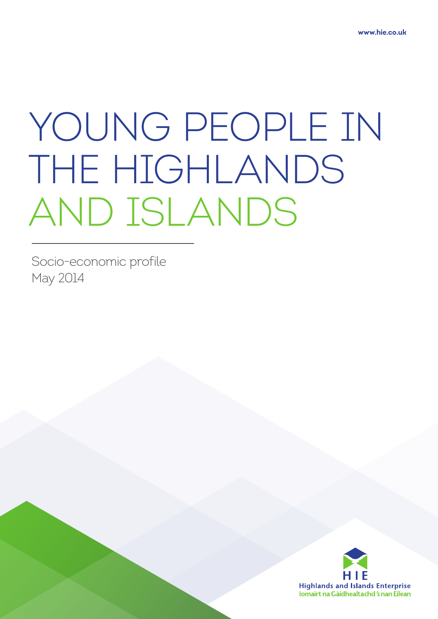# YOUNG PEOPLE IN THE HIGHLANDS AND ISLANDS

Socio-economic profile May 2014

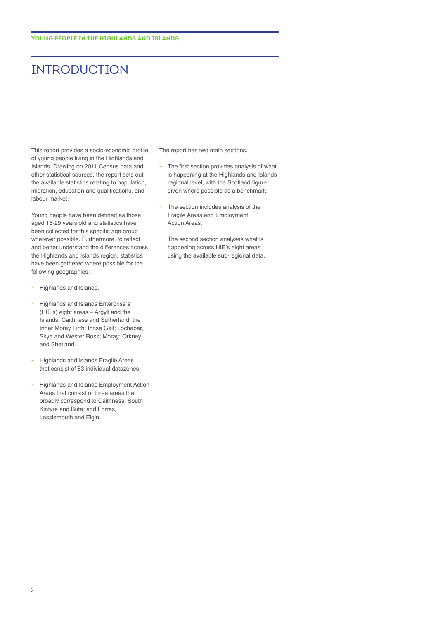# INTRODUCTION

This report provides a socio-economic profile of young people living in the Highlands and Islands. Drawing on 2011 Census data and other statistical sources, the report sets out the available statistics relating to population, migration, education and qualifications, and labour market.

Young people have been defined as those aged 15-29 years old and statistics have been collected for this specific age group wherever possible. Furthermore, to reflect and better understand the differences across the Highlands and Islands region, statistics have been gathered where possible for the following geographies:

- **-** Highlands and Islands.
- **-** Highlands and Islands Enterprise's (HIE's) eight areas – Argyll and the Islands; Caithness and Sutherland; the Inner Moray Firth; Innse Gall; Lochaber, Skye and Wester Ross; Moray; Orkney; and Shetland.
- **-** Highlands and Islands Fragile Areas that consist of 83 individual datazones.
- **-** Highlands and Islands Employment Action Areas that consist of three areas that broadly correspond to Caithness; South Kintyre and Bute; and Forres, Lossiemouth and Elgin.

The report has two main sections.

- **-** The first section provides analysis of what is happening at the Highlands and Islands regional level, with the Scotland figure given where possible as a benchmark.
- **-** The section includes analysis of the Fragile Areas and Employment Action Areas.
- **-** The second section analyses what is happening across HIE's eight areas using the available sub-regional data.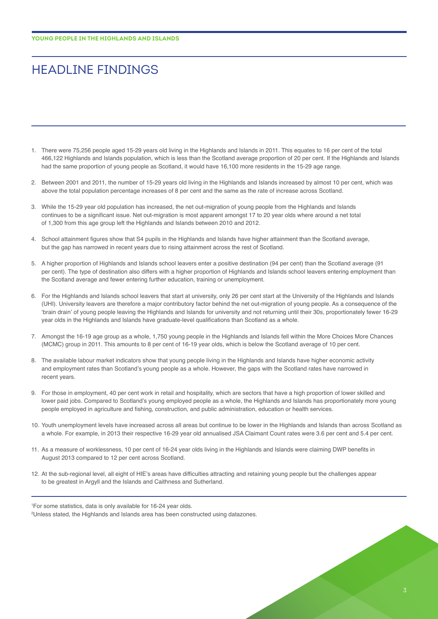# HEADLINE FINDINGS

- 1. There were 75,256 people aged 15-29 years old living in the Highlands and Islands in 2011. This equates to 16 per cent of the total 466,122 Highlands and Islands population, which is less than the Scotland average proportion of 20 per cent. If the Highlands and Islands had the same proportion of young people as Scotland, it would have 16,100 more residents in the 15-29 age range.
- 2. Between 2001 and 2011, the number of 15-29 years old living in the Highlands and Islands increased by almost 10 per cent, which was above the total population percentage increases of 8 per cent and the same as the rate of increase across Scotland.
- 3. While the 15-29 year old population has increased, the net out-migration of young people from the Highlands and Islands continues to be a significant issue. Net out-migration is most apparent amongst 17 to 20 year olds where around a net total of 1,300 from this age group left the Highlands and Islands between 2010 and 2012.
- 4. School attainment figures show that S4 pupils in the Highlands and Islands have higher attainment than the Scotland average, but the gap has narrowed in recent years due to rising attainment across the rest of Scotland.
- 5. A higher proportion of Highlands and Islands school leavers enter a positive destination (94 per cent) than the Scotland average (91 per cent). The type of destination also differs with a higher proportion of Highlands and Islands school leavers entering employment than the Scotland average and fewer entering further education, training or unemployment.
- 6. For the Highlands and Islands school leavers that start at university, only 26 per cent start at the University of the Highlands and Islands (UHI). University leavers are therefore a major contributory factor behind the net out-migration of young people. As a consequence of the 'brain drain' of young people leaving the Highlands and Islands for university and not returning until their 30s, proportionately fewer 16-29 year olds in the Highlands and Islands have graduate-level qualifications than Scotland as a whole.
- 7. Amongst the 16-19 age group as a whole, 1,750 young people in the Highlands and Islands fell within the More Choices More Chances (MCMC) group in 2011. This amounts to 8 per cent of 16-19 year olds, which is below the Scotland average of 10 per cent.
- 8. The available labour market indicators show that young people living in the Highlands and Islands have higher economic activity and employment rates than Scotland's young people as a whole. However, the gaps with the Scotland rates have narrowed in recent years.
- 9. For those in employment, 40 per cent work in retail and hospitality, which are sectors that have a high proportion of lower skilled and lower paid jobs. Compared to Scotland's young employed people as a whole, the Highlands and Islands has proportionately more young people employed in agriculture and fishing, construction, and public administration, education or health services.
- 10. Youth unemployment levels have increased across all areas but continue to be lower in the Highlands and Islands than across Scotland as a whole. For example, in 2013 their respective 16-29 year old annualised JSA Claimant Count rates were 3.6 per cent and 5.4 per cent.
- 11. As a measure of worklessness, 10 per cent of 16-24 year olds living in the Highlands and Islands were claiming DWP benefits in August 2013 compared to 12 per cent across Scotland.
- 12. At the sub-regional level, all eight of HIE's areas have difficulties attracting and retaining young people but the challenges appear to be greatest in Argyll and the Islands and Caithness and Sutherland.

1 For some statistics, data is only available for 16-24 year olds.

2 Unless stated, the Highlands and Islands area has been constructed using datazones.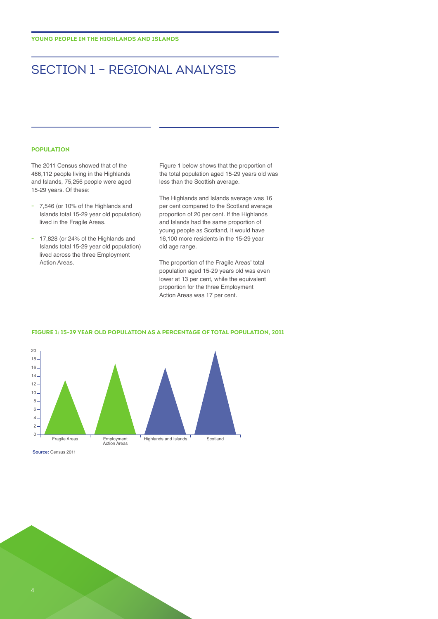# SECTION 1 – REGIONAL ANALYSIS

#### **POPULATION**

The 2011 Census showed that of the 466,112 people living in the Highlands and Islands, 75,256 people were aged 15-29 years. Of these:

- **-** 7,546 (or 10% of the Highlands and Islands total 15-29 year old population) lived in the Fragile Areas.
- **-** 17,828 (or 24% of the Highlands and Islands total 15-29 year old population) lived across the three Employment Action Areas.

Figure 1 below shows that the proportion of the total population aged 15-29 years old was less than the Scottish average.

The Highlands and Islands average was 16 per cent compared to the Scotland average proportion of 20 per cent. If the Highlands and Islands had the same proportion of young people as Scotland, it would have 16,100 more residents in the 15-29 year old age range.

The proportion of the Fragile Areas' total population aged 15-29 years old was even lower at 13 per cent, while the equivalent proportion for the three Employment Action Areas was 17 per cent.



#### **FIGURE 1: 15-29 YEAR OLD POPULATION AS A PERCENTAGE OF TOTAL POPULATION, 2011**

**Source:** Census 2011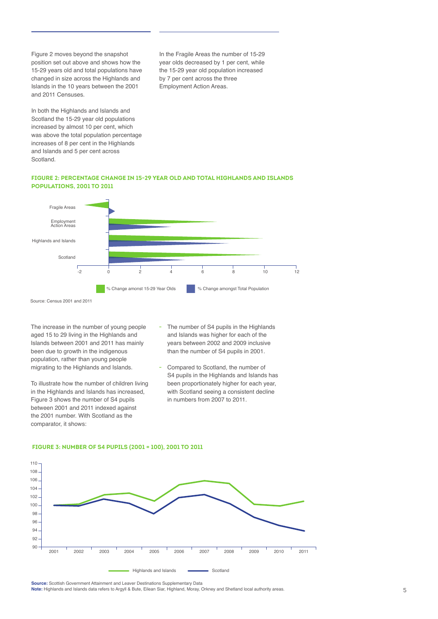Figure 2 moves beyond the snapshot position set out above and shows how the 15-29 years old and total populations have changed in size across the Highlands and Islands in the 10 years between the 2001 and 2011 Censuses.

In both the Highlands and Islands and Scotland the 15-29 year old populations increased by almost 10 per cent, which was above the total population percentage increases of 8 per cent in the Highlands and Islands and 5 per cent across Scotland.

In the Fragile Areas the number of 15-29 year olds decreased by 1 per cent, while the 15-29 year old population increased by 7 per cent across the three Employment Action Areas.

# **FIGURE 2: PERCENTAGE CHANGE IN 15-29 YEAR OLD AND TOTAL HIGHLANDS AND ISLANDS POPULATIONS, 2001 TO 2011**



Source: Census 2001 and 2011

The increase in the number of young people aged 15 to 29 living in the Highlands and Islands between 2001 and 2011 has mainly been due to growth in the indigenous population, rather than young people migrating to the Highlands and Islands.

To illustrate how the number of children living in the Highlands and Islands has increased, Figure 3 shows the number of S4 pupils between 2001 and 2011 indexed against the 2001 number. With Scotland as the comparator, it shows:

- **-** The number of S4 pupils in the Highlands and Islands was higher for each of the years between 2002 and 2009 inclusive than the number of S4 pupils in 2001.
- **-** Compared to Scotland, the number of S4 pupils in the Highlands and Islands has been proportionately higher for each year, with Scotland seeing a consistent decline in numbers from 2007 to 2011.

## **FIGURE 3: NUMBER OF S4 PUPILS (2001 = 100), 2001 TO 2011**



**Source:** Scottish Government Attainment and Leaver Destinations Supplementary Data **Note:** Highlands and Islands data refers to Argyll & Bute, Eilean Siar, Highland, Moray, Orkney and Shetland local authority areas.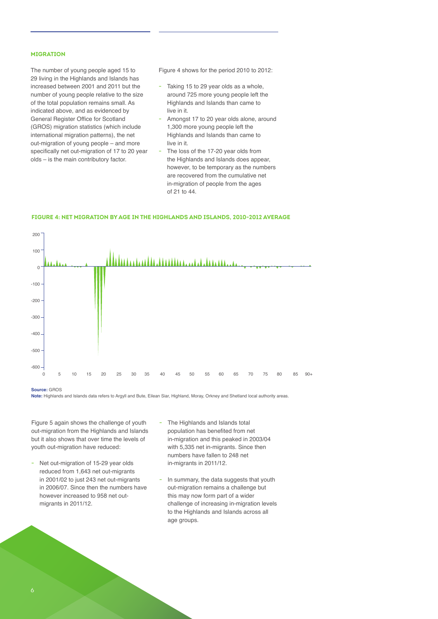# **MIGRATION**

The number of young people aged 15 to 29 living in the Highlands and Islands has increased between 2001 and 2011 but the number of young people relative to the size of the total population remains small. As indicated above, and as evidenced by General Register Office for Scotland (GROS) migration statistics (which include international migration patterns), the net out-migration of young people – and more specifically net out-migration of 17 to 20 year olds – is the main contributory factor.

Figure 4 shows for the period 2010 to 2012:

- **-** Taking 15 to 29 year olds as a whole, around 725 more young people left the Highlands and Islands than came to live in it.
- **-** Amongst 17 to 20 year olds alone, around 1,300 more young people left the Highlands and Islands than came to live in it.
- **-** The loss of the 17-20 year olds from the Highlands and Islands does appear, however, to be temporary as the numbers are recovered from the cumulative net in-migration of people from the ages of 21 to 44.



#### **FIGURE 4: NET MIGRATION BY AGE IN THE HIGHLANDS AND ISLANDS, 2010-2012 AVERAGE**

**Source:** GROS

**Note:** Highlands and Islands data refers to Argyll and Bute, Eilean Siar, Highland, Moray, Orkney and Shetland local authority areas.

Figure 5 again shows the challenge of youth out-migration from the Highlands and Islands but it also shows that over time the levels of youth out-migration have reduced:

- **-** Net out-migration of 15-29 year olds reduced from 1,643 net out-migrants in 2001/02 to just 243 net out-migrants in 2006/07. Since then the numbers have however increased to 958 net outmigrants in 2011/12.
- **-** The Highlands and Islands total population has benefited from net in-migration and this peaked in 2003/04 with 5,335 net in-migrants. Since then numbers have fallen to 248 net in-migrants in 2011/12.
- **-** In summary, the data suggests that youth out-migration remains a challenge but this may now form part of a wider challenge of increasing in-migration levels to the Highlands and Islands across all age groups.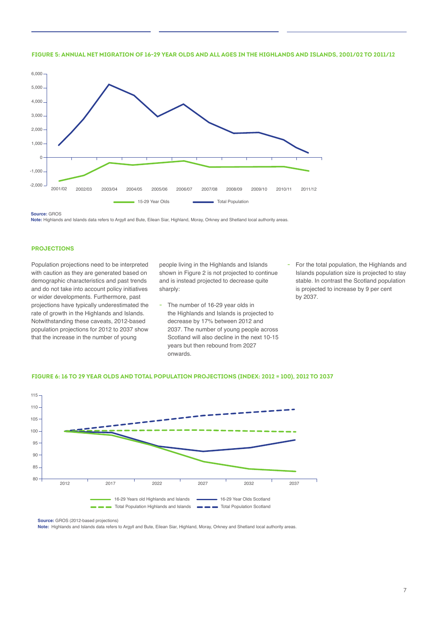



**Source:** GROS

**Note:** Highlands and Islands data refers to Argyll and Bute, Eilean Siar, Highland, Moray, Orkney and Shetland local authority areas.

#### **PROJECTIONS**

Population projections need to be interpreted with caution as they are generated based on demographic characteristics and past trends and do not take into account policy initiatives or wider developments. Furthermore, past projections have typically underestimated the rate of growth in the Highlands and Islands. Notwithstanding these caveats, 2012-based population projections for 2012 to 2037 show that the increase in the number of young

people living in the Highlands and Islands shown in Figure 2 is not projected to continue and is instead projected to decrease quite sharply:

- **-** The number of 16-29 year olds in the Highlands and Islands is projected to decrease by 17% between 2012 and 2037. The number of young people across Scotland will also decline in the next 10-15 years but then rebound from 2027 onwards.
- **-** For the total population, the Highlands and Islands population size is projected to stay stable. In contrast the Scotland population is projected to increase by 9 per cent by 2037.





**Source:** GROS (2012-based projections)

**Note:** Highlands and Islands data refers to Argyll and Bute, Eilean Siar, Highland, Moray, Orkney and Shetland local authority areas.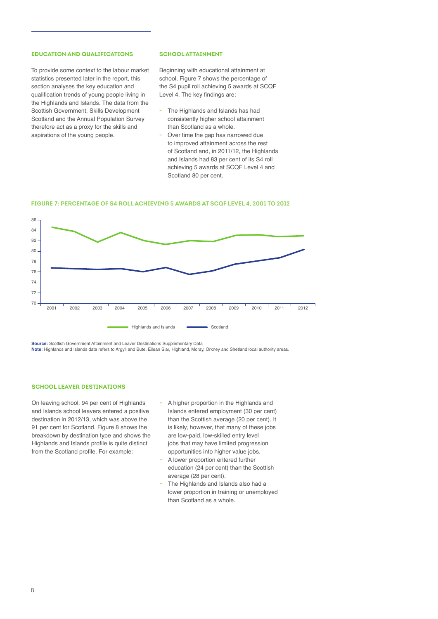# **EDUCATION AND QUALIFICATIONS**

To provide some context to the labour market statistics presented later in the report, this section analyses the key education and qualification trends of young people living in the Highlands and Islands. The data from the Scottish Government, Skills Development Scotland and the Annual Population Survey therefore act as a proxy for the skills and aspirations of the young people.

#### **SCHOOL ATTAINMENT**

Beginning with educational attainment at school, Figure 7 shows the percentage of the S4 pupil roll achieving 5 awards at SCQF Level 4. The key findings are:

- **-** The Highlands and Islands has had consistently higher school attainment than Scotland as a whole.
- **-** Over time the gap has narrowed due to improved attainment across the rest of Scotland and, in 2011/12, the Highlands and Islands had 83 per cent of its S4 roll achieving 5 awards at SCQF Level 4 and Scotland 80 per cent.



#### **FIGURE 7: PERCENTAGE OF S4 ROLL ACHIEVING 5 AWARDS AT SCQF LEVEL 4, 2001 TO 2012**

**Source:** Scottish Government Attainment and Leaver Destinations Supplementary Data

**Note:** Highlands and Islands data refers to Argyll and Bute, Eilean Siar, Highland, Moray, Orkney and Shetland local authority areas.

#### **SCHOOL LEAVER DESTINATIONS**

On leaving school, 94 per cent of Highlands and Islands school leavers entered a positive destination in 2012/13, which was above the 91 per cent for Scotland. Figure 8 shows the breakdown by destination type and shows the Highlands and Islands profile is quite distinct from the Scotland profile. For example:

- **-** A higher proportion in the Highlands and Islands entered employment (30 per cent) than the Scottish average (20 per cent). It is likely, however, that many of these jobs are low-paid, low-skilled entry level jobs that may have limited progression opportunities into higher value jobs.
- **-** A lower proportion entered further education (24 per cent) than the Scottish average (28 per cent).
- **-** The Highlands and Islands also had a lower proportion in training or unemployed than Scotland as a whole.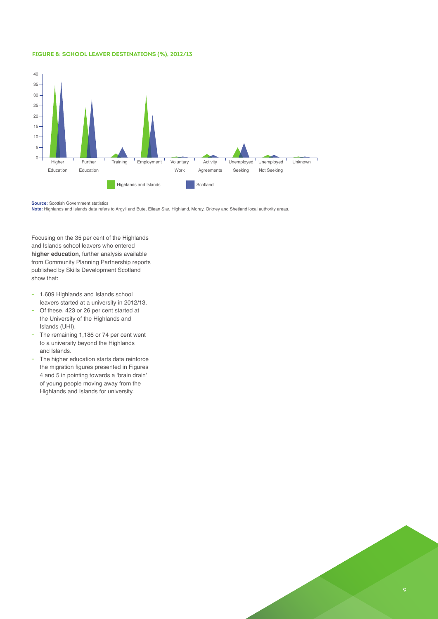#### **FIGURE 8: SCHOOL LEAVER DESTINATIONS (%), 2012/13**



**Source:** Scottish Government statistics

**Note:** Highlands and Islands data refers to Argyll and Bute, Eilean Siar, Highland, Moray, Orkney and Shetland local authority areas.

Focusing on the 35 per cent of the Highlands and Islands school leavers who entered **higher education**, further analysis available from Community Planning Partnership reports published by Skills Development Scotland show that:

- **-** 1,609 Highlands and Islands school leavers started at a university in 2012/13.
- **-** Of these, 423 or 26 per cent started at the University of the Highlands and Islands (UHI).
- **-** The remaining 1,186 or 74 per cent went to a university beyond the Highlands and Islands.
- **-** The higher education starts data reinforce the migration figures presented in Figures 4 and 5 in pointing towards a 'brain drain' of young people moving away from the Highlands and Islands for university.

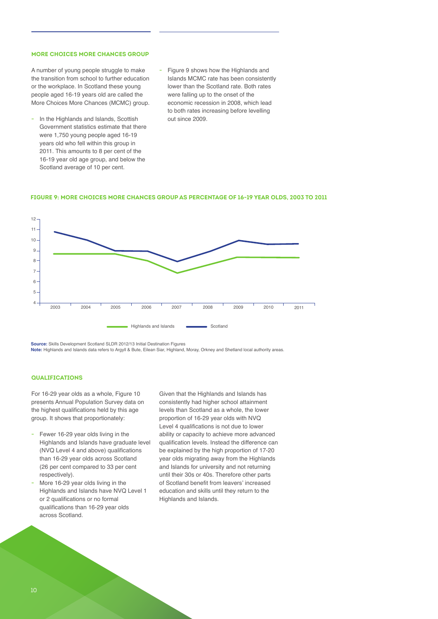#### **MORE CHOICES MORE CHANCES GROUP**

A number of young people struggle to make the transition from school to further education or the workplace. In Scotland these young people aged 16-19 years old are called the More Choices More Chances (MCMC) group.

- **-** In the Highlands and Islands, Scottish Government statistics estimate that there were 1,750 young people aged 16-19 years old who fell within this group in 2011. This amounts to 8 per cent of the 16-19 year old age group, and below the Scotland average of 10 per cent.
- **-** Figure 9 shows how the Highlands and Islands MCMC rate has been consistently lower than the Scotland rate. Both rates were falling up to the onset of the economic recession in 2008, which lead to both rates increasing before levelling out since 2009.





**Source:** Skills Development Scotland SLDR 2012/13 Initial Destination Figures **Note:** Highlands and Islands data refers to Argyll & Bute, Eilean Siar, Highland, Moray, Orkney and Shetland local authority areas.

#### **QUALIFICATIONS**

For 16-29 year olds as a whole, Figure 10 presents Annual Population Survey data on the highest qualifications held by this age group. It shows that proportionately:

- **-** Fewer 16-29 year olds living in the Highlands and Islands have graduate level (NVQ Level 4 and above) qualifications than 16-29 year olds across Scotland (26 per cent compared to 33 per cent respectively).
- **-** More 16-29 year olds living in the Highlands and Islands have NVQ Level 1 or 2 qualifications or no formal qualifications than 16-29 year olds across Scotland.

Given that the Highlands and Islands has consistently had higher school attainment levels than Scotland as a whole, the lower proportion of 16-29 year olds with NVQ Level 4 qualifications is not due to lower ability or capacity to achieve more advanced qualification levels. Instead the difference can be explained by the high proportion of 17-20 year olds migrating away from the Highlands and Islands for university and not returning until their 30s or 40s. Therefore other parts of Scotland benefit from leavers' increased education and skills until they return to the Highlands and Islands.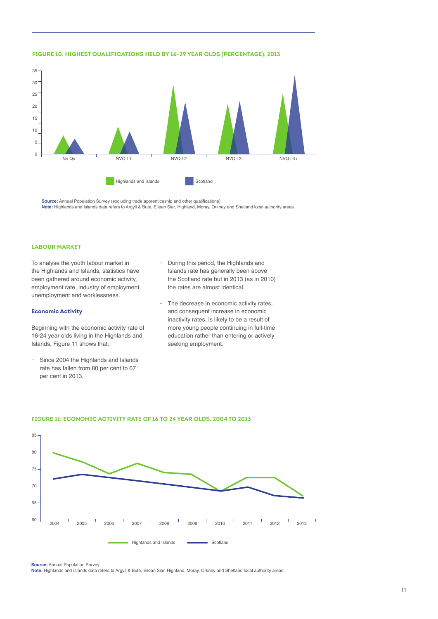

## **FIGURE 10: HIGHEST QUALIFICATIONS HELD BY 16-29 YEAR OLDS (PERCENTAGE), 2013**

**Source:** Annual Population Survey (excluding trade apprenticeship and other qualifications) **Note:** Highlands and Islands data refers to Argyll & Bute, Eilean Siar, Highland, Moray, Orkney and Shetland local authority areas.

#### **LABOUR MARKET**

To analyse the youth labour market in the Highlands and Islands, statistics have been gathered around economic activity, employment rate, industry of employment, unemployment and worklessness.

#### **Economic Activity**

Beginning with the economic activity rate of 16-24 year olds living in the Highlands and Islands, Figure 11 shows that:

**-** Since 2004 the Highlands and Islands rate has fallen from 80 per cent to 67 per cent in 2013.

- **-** During this period, the Highlands and Islands rate has generally been above the Scotland rate but in 2013 (as in 2010) the rates are almost identical.
- **-** The decrease in economic activity rates, and consequent increase in economic inactivity rates, is likely to be a result of more young people continuing in full-time education rather than entering or actively seeking employment.



#### **FIGURE 11: ECONOMIC ACTIVITY RATE OF 16 TO 24 YEAR OLDS, 2004 TO 2013**

**Source:** Annual Population Survey

**Note:** Highlands and Islands data refers to Argyll & Bute, Eilean Siar, Highland, Moray, Orkney and Shetland local authority areas.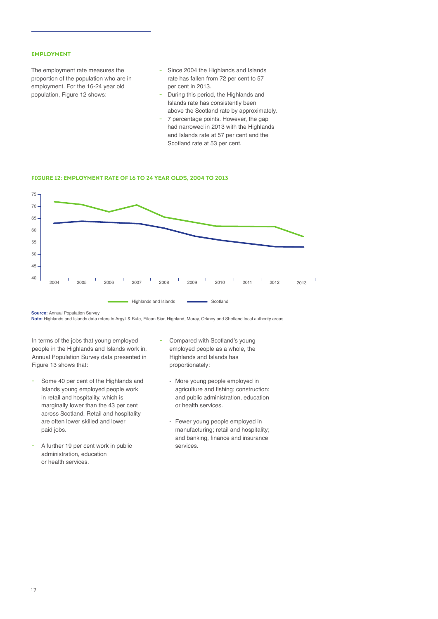## **EMPLOYMENT**

The employment rate measures the proportion of the population who are in employment. For the 16-24 year old population, Figure 12 shows:

- **-** Since 2004 the Highlands and Islands rate has fallen from 72 per cent to 57 per cent in 2013.
- **-** During this period, the Highlands and Islands rate has consistently been above the Scotland rate by approximately.
- **-** 7 percentage points. However, the gap had narrowed in 2013 with the Highlands and Islands rate at 57 per cent and the Scotland rate at 53 per cent.

#### **FIGURE 12: EMPLOYMENT RATE OF 16 TO 24 YEAR OLDS, 2004 TO 2013**



**Source: Annual Population Survey** 

**Note:** Highlands and Islands data refers to Argyll & Bute, Eilean Siar, Highland, Moray, Orkney and Shetland local authority areas.

In terms of the jobs that young employed people in the Highlands and Islands work in, Annual Population Survey data presented in Figure 13 shows that:

- **-** Some 40 per cent of the Highlands and Islands young employed people work in retail and hospitality, which is marginally lower than the 43 per cent across Scotland. Retail and hospitality are often lower skilled and lower paid jobs.
- **-** A further 19 per cent work in public administration, education or health services.
- **-** Compared with Scotland's young employed people as a whole, the Highlands and Islands has proportionately:
	- More young people employed in agriculture and fishing; construction; and public administration, education or health services.
	- Fewer young people employed in manufacturing; retail and hospitality; and banking, finance and insurance services.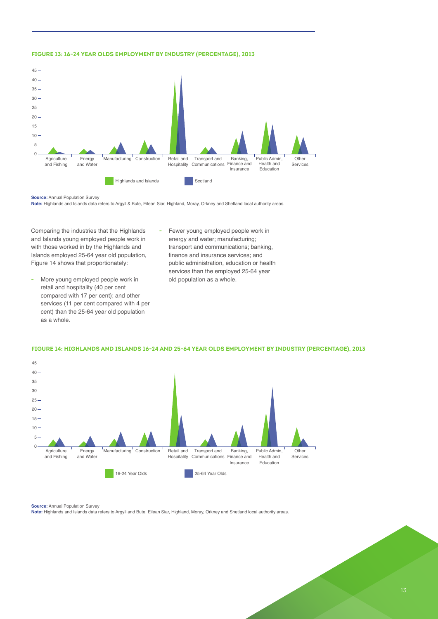#### **FIGURE 13: 16-24 YEAR OLDS EMPLOYMENT BY INDUSTRY (PERCENTAGE), 2013**



**Source:** Annual Population Survey

**Note:** Highlands and Islands data refers to Argyll & Bute, Eilean Siar, Highland, Moray, Orkney and Shetland local authority areas.

Comparing the industries that the Highlands and Islands young employed people work in with those worked in by the Highlands and Islands employed 25-64 year old population, Figure 14 shows that proportionately:

- **-** More young employed people work in retail and hospitality (40 per cent compared with 17 per cent); and other services (11 per cent compared with 4 per cent) than the 25-64 year old population as a whole.
- **-** Fewer young employed people work in energy and water; manufacturing; transport and communications; banking, finance and insurance services; and public administration, education or health services than the employed 25-64 year old population as a whole.



#### **FIGURE 14: HIGHLANDS AND ISLANDS 16-24 AND 25-64 YEAR OLDS EMPLOYMENT BY INDUSTRY (PERCENTAGE), 2013**

#### **Source:** Annual Population Survey

**Note:** Highlands and Islands data refers to Argyll and Bute, Eilean Siar, Highland, Moray, Orkney and Shetland local authority areas.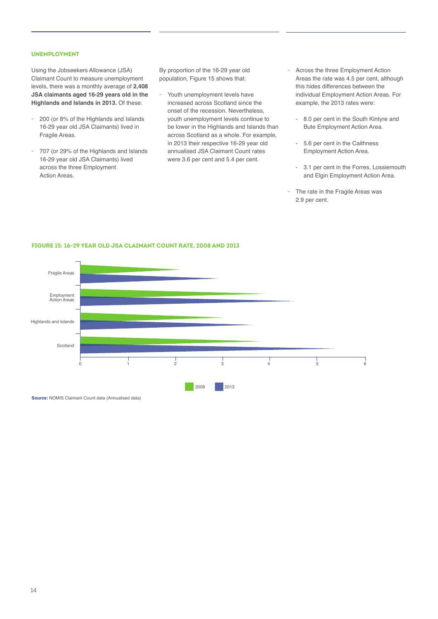## **UNEMPLOYMENT**

Using the Jobseekers Allowance (JSA) Claimant Count to measure unemployment levels, there was a monthly average of **2,408 JSA claimants aged 16-29 years old in the Highlands and Islands in 2013.** Of these:

- **-** 200 (or 8% of the Highlands and Islands 16-29 year old JSA Claimants) lived in Fragile Areas.
- **-** 707 (or 29% of the Highlands and Islands 16-29 year old JSA Claimants) lived across the three Employment Action Areas.

By proportion of the 16-29 year old population, Figure 15 shows that:

- **-** Youth unemployment levels have increased across Scotland since the onset of the recession. Nevertheless, youth unemployment levels continue to be lower in the Highlands and Islands than across Scotland as a whole. For example, in 2013 their respective 16-29 year old annualised JSA Claimant Count rates were 3.6 per cent and 5.4 per cent.
- **-** Across the three Employment Action Areas the rate was 4.5 per cent, although this hides differences between the individual Employment Action Areas. For example, the 2013 rates were:
	- 8.0 per cent in the South Kintyre and Bute Employment Action Area.
	- 5.6 per cent in the Caithness Employment Action Area.
	- 3.1 per cent in the Forres, Lossiemouth and Elgin Employment Action Area.
- **-** The rate in the Fragile Areas was 2.9 per cent.



#### **FIGURE 15: 16-29 YEAR OLD JSA CLAIMANT COUNT RATE, 2008 AND 2013**

**Source:** NOMIS Claimant Count data (Annualised data)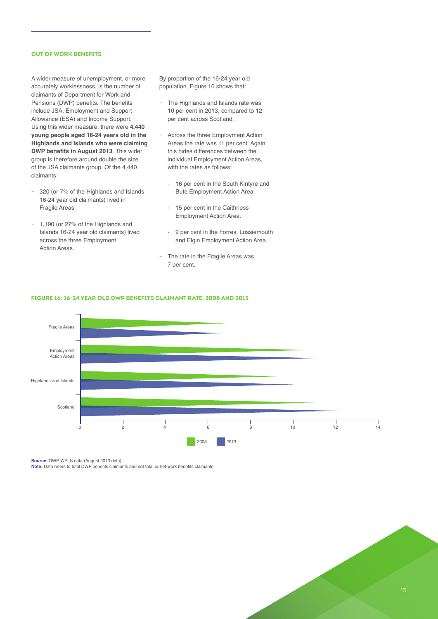# **OUT OF WORK BENEFITS**

A wider measure of unemployment, or more accurately worklessness, is the number of claimants of Department for Work and Pensions (DWP) benefits. The benefits include JSA, Employment and Support Allowance (ESA) and Income Support. Using this wider measure, there were **4,440 young people aged 16-24 years old in the Highlands and Islands who were claiming DWP benefits in August 2013**. This wider group is therefore around double the size of the JSA claimants group. Of the 4,440 claimants:

- **-** 320 (or 7% of the Highlands and Islands 16-24 year old claimants) lived in Fragile Areas.
- **-** 1,190 (or 27% of the Highlands and Islands 16-24 year old claimants) lived across the three Employment Action Areas.

By proportion of the 16-24 year old population, Figure 16 shows that:

- **-** The Highlands and Islands rate was 10 per cent in 2013, compared to 12 per cent across Scotland.
- **-** Across the three Employment Action Areas the rate was 11 per cent. Again this hides differences between the individual Employment Action Areas, with the rates as follows:
	- 16 per cent in the South Kintyre and Bute Employment Action Area.
	- 15 per cent in the Caithness Employment Action Area.
	- 9 per cent in the Forres, Lossiemouth and Elgin Employment Action Area.
- **-** The rate in the Fragile Areas was 7 per cent.



#### **FIGURE 16: 16-24 YEAR OLD DWP BENEFITS CLAIMANT RATE, 2008 AND 2013**

**Source:** DWP WPLS data (August 2013 data)

**Note:** Data refers to total DWP benefits claimants and not total out-of-work benefits claimants.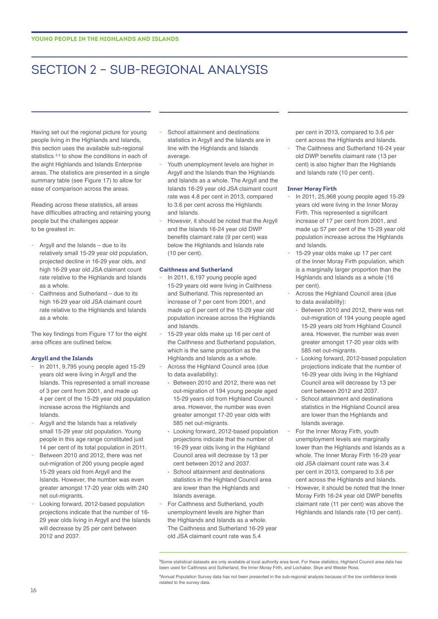# SECTION 2 – SUB-REGIONAL ANALYSIS

Having set out the regional picture for young people living in the Highlands and Islands, this section uses the available sub-regional statistics <sup>34</sup> to show the conditions in each of the eight Highlands and Islands Enterprise areas. The statistics are presented in a single summary table (see Figure 17) to allow for ease of comparison across the areas.

Reading across these statistics, all areas have difficulties attracting and retaining young people but the challenges appear to be greatest in:

- **-** Argyll and the Islands due to its relatively small 15-29 year old population, projected decline in 16-29 year olds, and high 16-29 year old JSA claimant count rate relative to the Highlands and Islands as a whole.
- **-** Caithness and Sutherland due to its high 16-29 year old JSA claimant count rate relative to the Highlands and Islands as a whole.

The key findings from Figure 17 for the eight area offices are outlined below.

#### **Argyll and the Islands**

- **-** In 2011, 9,795 young people aged 15-29 years old were living in Argyll and the Islands. This represented a small increase of 3 per cent from 2001, and made up 4 per cent of the 15-29 year old population increase across the Highlands and Islands.
- **-** Argyll and the Islands has a relatively small 15-29 year old population. Young people in this age range constituted just 14 per cent of its total population in 2011.
- **-** Between 2010 and 2012, there was net out-migration of 200 young people aged 15-29 years old from Argyll and the Islands. However, the number was even greater amongst 17-20 year olds with 240 net out-migrants.
- **-** Looking forward, 2012-based population projections indicate that the number of 16- 29 year olds living in Argyll and the Islands will decrease by 25 per cent between 2012 and 2037.
- **-** School attainment and destinations statistics in Argyll and the Islands are in line with the Highlands and Islands average.
- **-** Youth unemployment levels are higher in Argyll and the Islands than the Highlands and Islands as a whole. The Argyll and the Islands 16-29 year old JSA claimant count rate was 4.8 per cent in 2013, compared to 3.6 per cent across the Highlands and Islands.
- **-** However, it should be noted that the Argyll and the Islands 16-24 year old DWP benefits claimant rate (9 per cent) was below the Highlands and Islands rate (10 per cent).

#### **Caithness and Sutherland**

- **-** In 2011, 6,197 young people aged 15-29 years old were living in Caithness and Sutherland. This represented an increase of 7 per cent from 2001, and made up 6 per cent of the 15-29 year old population increase across the Highlands and Islands.
- **-** 15-29 year olds make up 16 per cent of the Caithness and Sutherland population, which is the same proportion as the Highlands and Islands as a whole.
- **-** Across the Highland Council area (due to data availability):
	- Between 2010 and 2012, there was net out-migration of 194 young people aged 15-29 years old from Highland Council area. However, the number was even greater amongst 17-20 year olds with 585 net out-migrants.
	- Looking forward, 2012-based population projections indicate that the number of 16-29 year olds living in the Highland Council area will decrease by 13 per cent between 2012 and 2037.
	- School attainment and destinations statistics in the Highland Council area are lower than the Highlands and Islands average.
- **-** For Caithness and Sutherland, youth unemployment levels are higher than the Highlands and Islands as a whole. The Caithness and Sutherland 16-29 year old JSA claimant count rate was 5.4

per cent in 2013, compared to 3.6 per cent across the Highlands and Islands.

**-** The Caithness and Sutherland 16-24 year old DWP benefits claimant rate (13 per cent) is also higher than the Highlands and Islands rate (10 per cent).

#### **Inner Moray Firth**

- **-** In 2011, 25,968 young people aged 15-29 years old were living in the Inner Moray Firth. This represented a significant increase of 17 per cent from 2001, and made up 57 per cent of the 15-29 year old population increase across the Highlands and Islands.
- **-** 15-29 year olds make up 17 per cent of the Inner Moray Firth population, which is a marginally larger proportion than the Highlands and Islands as a whole (16 per cent).
- **-** Across the Highland Council area (due to data availability):
	- Between 2010 and 2012, there was net out-migration of 194 young people aged 15-29 years old from Highland Council area. However, the number was even greater amongst 17-20 year olds with 585 net out-migrants.
	- Looking forward, 2012-based population projections indicate that the number of 16-29 year olds living in the Highland Council area will decrease by 13 per cent between 2012 and 2037.
	- School attainment and destinations statistics in the Highland Council area are lower than the Highlands and Islands average.
- **-** For the Inner Moray Firth, youth unemployment levels are marginally lower than the Highlands and Islands as a whole. The Inner Moray Firth 16-29 year old JSA claimant count rate was 3.4 per cent in 2013, compared to 3.6 per cent across the Highlands and Islands.
- **-** However, it should be noted that the Inner Moray Firth 16-24 year old DWP benefits claimant rate (11 per cent) was above the Highlands and Islands rate (10 per cent).

**<sup>3</sup>** Some statistical datasets are only available at local authority area level. For these statistics, Highland Council area data has been used for Caithness and Sutherland, the Inner Moray Firth, and Lochaber, Skye and Wester Ross.

**<sup>4</sup>** Annual Population Survey data has not been presented in the sub-regional analysis because of the low confidence levels related to the survey data.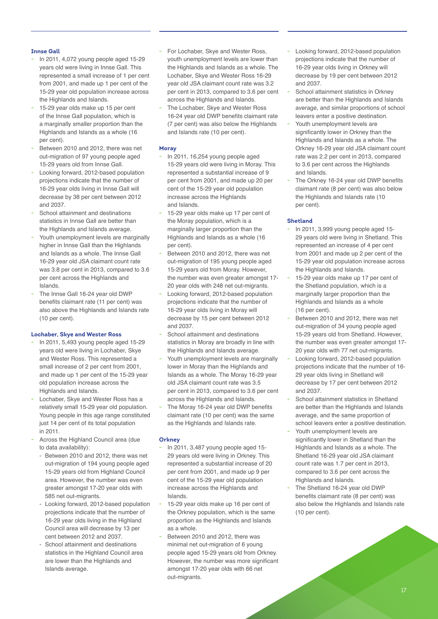## **Innse Gall**

- **-** In 2011, 4,072 young people aged 15-29 years old were living in Innse Gall. This represented a small increase of 1 per cent from 2001, and made up 1 per cent of the 15-29 year old population increase across the Highlands and Islands.
- **-** 15-29 year olds make up 15 per cent of the Innse Gall population, which is a marginally smaller proportion than the Highlands and Islands as a whole (16 per cent).
- **-** Between 2010 and 2012, there was net out-migration of 97 young people aged 15-29 years old from Innse Gall.
- **-** Looking forward, 2012-based population projections indicate that the number of 16-29 year olds living in Innse Gall will decrease by 38 per cent between 2012 and 2037.
- **-** School attainment and destinations statistics in Innse Gall are better than the Highlands and Islands average.
- **-** Youth unemployment levels are marginally higher in Innse Gall than the Highlands and Islands as a whole. The Innse Gall 16-29 year old JSA claimant count rate was 3.8 per cent in 2013, compared to 3.6 per cent across the Highlands and Islands.
- **-** The Innse Gall 16-24 year old DWP benefits claimant rate (11 per cent) was also above the Highlands and Islands rate (10 per cent).

#### **Lochaber, Skye and Wester Ross**

- **-** In 2011, 5,493 young people aged 15-29 years old were living in Lochaber, Skye and Wester Ross. This represented a small increase of 2 per cent from 2001, and made up 1 per cent of the 15-29 year old population increase across the Highlands and Islands.
- **-** Lochaber, Skye and Wester Ross has a relatively small 15-29 year old population. Young people in this age range constituted just 14 per cent of its total population in 2011.
- **-** Across the Highland Council area (due to data availability):
	- Between 2010 and 2012, there was net out-migration of 194 young people aged 15-29 years old from Highland Council area. However, the number was even greater amongst 17-20 year olds with 585 net out-migrants.
	- Looking forward, 2012-based population projections indicate that the number of 16-29 year olds living in the Highland Council area will decrease by 13 per cent between 2012 and 2037.
	- School attainment and destinations statistics in the Highland Council area are lower than the Highlands and Islands average.
- **-** For Lochaber, Skye and Wester Ross, youth unemployment levels are lower than the Highlands and Islands as a whole. The Lochaber, Skye and Wester Ross 16-29 year old JSA claimant count rate was 3.2 per cent in 2013, compared to 3.6 per cent across the Highlands and Islands.
- **-** The Lochaber, Skye and Wester Ross 16-24 year old DWP benefits claimant rate (7 per cent) was also below the Highlands and Islands rate (10 per cent).

## **Moray**

- **-** In 2011, 16,254 young people aged 15-29 years old were living in Moray. This represented a substantial increase of 9 per cent from 2001, and made up 20 per cent of the 15-29 year old population increase across the Highlands and Islands.
- **-** 15-29 year olds make up 17 per cent of the Moray population, which is a marginally larger proportion than the Highlands and Islands as a whole (16 per cent).
- **-** Between 2010 and 2012, there was net out-migration of 195 young people aged 15-29 years old from Moray. However, the number was even greater amongst 17- 20 year olds with 248 net out-migrants.
- **-** Looking forward, 2012-based population projections indicate that the number of 16-29 year olds living in Moray will decrease by 15 per cent between 2012 and 2037.
- **-** School attainment and destinations statistics in Moray are broadly in line with the Highlands and Islands average.
- **-** Youth unemployment levels are marginally lower in Moray than the Highlands and Islands as a whole. The Moray 16-29 year old JSA claimant count rate was 3.5 per cent in 2013, compared to 3.6 per cent across the Highlands and Islands.
- **-** The Moray 16-24 year old DWP benefits claimant rate (10 per cent) was the same as the Highlands and Islands rate.

#### **Orkney**

- **-** In 2011, 3,487 young people aged 15- 29 years old were living in Orkney. This represented a substantial increase of 20 per cent from 2001, and made up 9 per cent of the 15-29 year old population increase across the Highlands and Islands.
- **-** 15-29 year olds make up 16 per cent of the Orkney population, which is the same proportion as the Highlands and Islands as a whole.
- **-** Between 2010 and 2012, there was minimal net out-migration of 6 young people aged 15-29 years old from Orkney. However, the number was more significant amongst 17-20 year olds with 66 net out-migrants.
- **-** Looking forward, 2012-based population projections indicate that the number of 16-29 year olds living in Orkney will decrease by 19 per cent between 2012 and 2037.
- **-** School attainment statistics in Orkney are better than the Highlands and Islands average, and similar proportions of school leavers enter a positive destination.
- **-** Youth unemployment levels are significantly lower in Orkney than the Highlands and Islands as a whole. The Orkney 16-29 year old JSA claimant count rate was 2.2 per cent in 2013, compared to 3.6 per cent across the Highlands and Islands.
- **-** The Orkney 16-24 year old DWP benefits claimant rate (8 per cent) was also below the Highlands and Islands rate (10 per cent).

# **Shetland**

- **-** In 2011, 3,999 young people aged 15- 29 years old were living in Shetland. This represented an increase of 4 per cent from 2001 and made up 2 per cent of the 15-29 year old population increase across the Highlands and Islands.
- **-** 15-29 year olds make up 17 per cent of the Shetland population, which is a marginally larger proportion than the Highlands and Islands as a whole (16 per cent).
- **-** Between 2010 and 2012, there was net out-migration of 34 young people aged 15-29 years old from Shetland. However, the number was even greater amongst 17- 20 year olds with 77 net out-migrants.
- **-** Looking forward, 2012-based population projections indicate that the number of 16- 29 year olds living in Shetland will decrease by 17 per cent between 2012 and 2037.
- **-** School attainment statistics in Shetland are better than the Highlands and Islands average, and the same proportion of school leavers enter a positive destination.
- **-** Youth unemployment levels are significantly lower in Shetland than the Highlands and Islands as a whole. The Shetland 16-29 year old JSA claimant count rate was 1.7 per cent in 2013, compared to 3.6 per cent across the Highlands and Islands.
- **-** The Shetland 16-24 year old DWP benefits claimant rate (8 per cent) was also below the Highlands and Islands rate (10 per cent).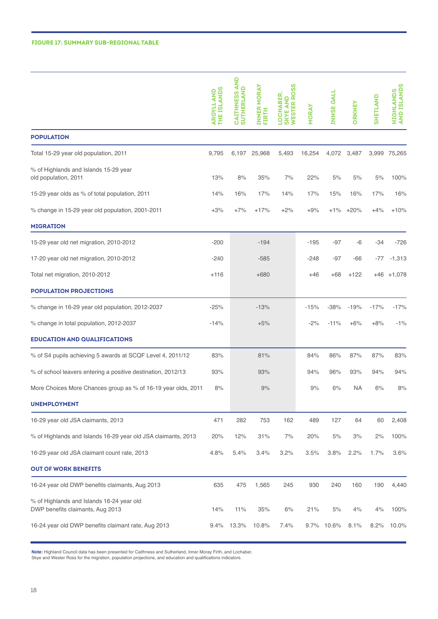#### **FIGURE 17: SUMMARY SUB-REGIONAL TABLE**

|                                                                               | <b>THE ISLANDS</b><br><b>ARGYLL AND</b> | <b>CAITHNESS AND<br/>SUTHERLAND</b> | INNER MORAY<br><b>FIRTH</b> | <b>SKYE AND<br/>WESTER ROSS</b><br><b>LOCHABER</b> | <b>MORAY</b> | <b>INNSE GALL</b> | <b>ORKNEY</b> | <b>SHETLAND</b> | HIGHLANDS<br>AND ISLANDS |
|-------------------------------------------------------------------------------|-----------------------------------------|-------------------------------------|-----------------------------|----------------------------------------------------|--------------|-------------------|---------------|-----------------|--------------------------|
| <b>POPULATION</b>                                                             |                                         |                                     |                             |                                                    |              |                   |               |                 |                          |
| Total 15-29 year old population, 2011                                         | 9,795                                   |                                     | 6,197 25,968                | 5,493                                              | 16,254       |                   | 4,072 3,487   |                 | 3,999 75,265             |
| % of Highlands and Islands 15-29 year<br>old population, 2011                 | 13%                                     | 8%                                  | 35%                         | 7%                                                 | 22%          | 5%                | 5%            | 5%              | 100%                     |
| 15-29 year olds as % of total population, 2011                                | 14%                                     | 16%                                 | 17%                         | 14%                                                | 17%          | 15%               | 16%           | 17%             | 16%                      |
| % change in 15-29 year old population, 2001-2011                              | $+3%$                                   | $+7%$                               | $+17%$                      | $+2%$                                              | $+9%$        | +1%               | $+20%$        | $+4%$           | $+10%$                   |
| <b>MIGRATION</b>                                                              |                                         |                                     |                             |                                                    |              |                   |               |                 |                          |
| 15-29 year old net migration, 2010-2012                                       | $-200$                                  |                                     | $-194$                      |                                                    | $-195$       | -97               | -6            | $-34$           | $-726$                   |
| 17-20 year old net migration, 2010-2012                                       | $-240$                                  |                                     | $-585$                      |                                                    | $-248$       | -97               | -66           | -77             | $-1,313$                 |
| Total net migration, 2010-2012                                                | $+116$                                  |                                     | $+680$                      |                                                    | $+46$        | $+68$             | $+122$        |                 | $+46$ $+1,078$           |
| <b>POPULATION PROJECTIONS</b>                                                 |                                         |                                     |                             |                                                    |              |                   |               |                 |                          |
| % change in 16-29 year old population, 2012-2037                              | $-25%$                                  |                                     | $-13%$                      |                                                    | $-15%$       | $-38%$            | $-19%$        | $-17%$          | $-17%$                   |
| % change in total population, 2012-2037                                       | $-14%$                                  |                                     | $+5%$                       |                                                    | $-2%$        | $-11%$            | $+6%$         | $+8%$           | $-1%$                    |
| <b>EDUCATION AND QUALIFICATIONS</b>                                           |                                         |                                     |                             |                                                    |              |                   |               |                 |                          |
| % of S4 pupils achieving 5 awards at SCQF Level 4, 2011/12                    | 83%                                     |                                     | 81%                         |                                                    | 84%          | 86%               | 87%           | 87%             | 83%                      |
| % of school leavers entering a positive destination, 2012/13                  | 93%                                     |                                     | 93%                         |                                                    | 94%          | 96%               | 93%           | 94%             | 94%                      |
| More Choices More Chances group as % of 16-19 year olds, 2011                 | 8%                                      |                                     | 9%                          |                                                    | 9%           | 6%                | <b>NA</b>     | 6%              | 8%                       |
| <b>UNEMPLOYMENT</b>                                                           |                                         |                                     |                             |                                                    |              |                   |               |                 |                          |
| 16-29 year old JSA claimants, 2013                                            | 471                                     | 282                                 | 753                         | 162                                                | 489          | 127               | 64            | 60              | 2,408                    |
| % of Highlands and Islands 16-29 year old JSA claimants, 2013                 | 20%                                     | 12%                                 | 31%                         | 7%                                                 | 20%          | 5%                | 3%            | 2%              | 100%                     |
| 16-29 year old JSA claimant count rate, 2013                                  | 4.8%                                    | 5.4%                                | 3.4%                        | 3.2%                                               | 3.5%         | 3.8%              | 2.2%          | 1.7%            | 3.6%                     |
| <b>OUT OF WORK BENEFITS</b>                                                   |                                         |                                     |                             |                                                    |              |                   |               |                 |                          |
| 16-24 year old DWP benefits claimants, Aug 2013                               | 635                                     | 475                                 | 1,565                       | 245                                                | 930          | 240               | 160           | 190             | 4,440                    |
| % of Highlands and Islands 16-24 year old<br>DWP benefits claimants, Aug 2013 | 14%                                     | 11%                                 | 35%                         | 6%                                                 | 21%          | 5%                | 4%            | 4%              | 100%                     |
| 16-24 year old DWP benefits claimant rate, Aug 2013                           | 9.4%                                    | 13.3%                               | 10.8%                       | 7.4%                                               | 9.7%         | 10.6%             | 8.1%          | 8.2%            | 10.0%                    |

**Note:** Highland Council data has been presented for Caithness and Sutherland, Inner Moray Firth, and Lochaber,

Skye and Wester Ross for the migration, population projections, and education and qualifications indicators.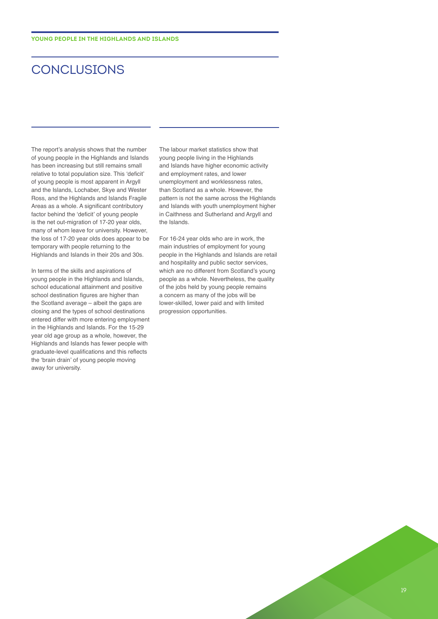# **CONCLUSIONS**

The report's analysis shows that the number of young people in the Highlands and Islands has been increasing but still remains small relative to total population size. This 'deficit' of young people is most apparent in Argyll and the Islands, Lochaber, Skye and Wester Ross, and the Highlands and Islands Fragile Areas as a whole. A significant contributory factor behind the 'deficit' of young people is the net out-migration of 17-20 year olds, many of whom leave for university. However, the loss of 17-20 year olds does appear to be temporary with people returning to the Highlands and Islands in their 20s and 30s.

In terms of the skills and aspirations of young people in the Highlands and Islands, school educational attainment and positive school destination figures are higher than the Scotland average – albeit the gaps are closing and the types of school destinations entered differ with more entering employment in the Highlands and Islands. For the 15-29 year old age group as a whole, however, the Highlands and Islands has fewer people with graduate-level qualifications and this reflects the 'brain drain' of young people moving away for university.

The labour market statistics show that young people living in the Highlands and Islands have higher economic activity and employment rates, and lower unemployment and worklessness rates, than Scotland as a whole. However, the pattern is not the same across the Highlands and Islands with youth unemployment higher in Caithness and Sutherland and Argyll and the Islands.

For 16-24 year olds who are in work, the main industries of employment for young people in the Highlands and Islands are retail and hospitality and public sector services, which are no different from Scotland's young people as a whole. Nevertheless, the quality of the jobs held by young people remains a concern as many of the jobs will be lower-skilled, lower paid and with limited progression opportunities.